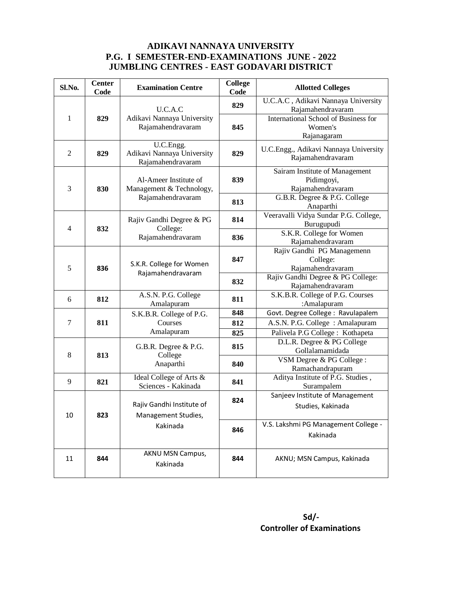## **ADIKAVI NANNAYA UNIVERSITY P.G. I SEMESTER-END-EXAMINATIONS JUNE - 2022 JUMBLING CENTRES - EAST GODAVARI DISTRICT**

| Sl.No.         | <b>Center</b><br>Code | <b>Examination Centre</b>                                              | <b>College</b><br>Code | <b>Allotted Colleges</b>                                              |
|----------------|-----------------------|------------------------------------------------------------------------|------------------------|-----------------------------------------------------------------------|
|                |                       | U.C.A.C                                                                | 829                    | U.C.A.C, Adikavi Nannaya University<br>Rajamahendravaram              |
| 1              | 829                   | Adikavi Nannaya University<br>Rajamahendravaram                        | 845                    | <b>International School of Business for</b><br>Women's<br>Rajanagaram |
| $\overline{2}$ | 829                   | U.C.Engg.<br>Adikavi Nannaya University<br>Rajamahendravaram           | 829                    | U.C.Engg., Adikavi Nannaya University<br>Rajamahendravaram            |
| 3              | 830                   | Al-Ameer Institute of<br>Management & Technology,<br>Rajamahendravaram | 839                    | Sairam Institute of Management<br>Pidimgoyi,<br>Rajamahendravaram     |
|                |                       |                                                                        | 813                    | G.B.R. Degree & P.G. College<br>Anaparthi                             |
| $\overline{4}$ | 832                   | Rajiv Gandhi Degree & PG<br>College:<br>Rajamahendravaram              | 814                    | Veeravalli Vidya Sundar P.G. College,<br>Burugupudi                   |
|                |                       |                                                                        | 836                    | S.K.R. College for Women<br>Rajamahendravaram                         |
| 5              | 836                   | S.K.R. College for Women<br>Rajamahendravaram                          | 847                    | Rajiv Gandhi PG Managemenn<br>College:<br>Rajamahendravaram           |
|                |                       |                                                                        | 832                    | Rajiv Gandhi Degree & PG College:<br>Rajamahendravaram                |
| 6              | 812                   | A.S.N. P.G. College<br>Amalapuram                                      | 811                    | S.K.B.R. College of P.G. Courses<br>:Amalapuram                       |
| 7              | 811                   | S.K.B.R. College of P.G.<br>Courses<br>Amalapuram                      | 848<br>812             | Govt. Degree College: Ravulapalem<br>A.S.N. P.G. College: Amalapuram  |
|                |                       |                                                                        | 825                    | Palivela P.G College : Kothapeta                                      |
| 8              | 813                   | G.B.R. Degree & P.G.<br>College<br>Anaparthi                           | 815                    | D.L.R. Degree & PG College<br>Gollalamamidada                         |
|                |                       |                                                                        | 840                    | VSM Degree & PG College :<br>Ramachandrapuram                         |
| 9              | 821                   | Ideal College of Arts &<br>Sciences - Kakinada                         | 841                    | Aditya Institute of P.G. Studies,<br>Surampalem                       |
| $10\,$         | 823                   | Rajiv Gandhi Institute of<br>Management Studies,<br>Kakinada           | 824                    | Sanjeev Institute of Management<br>Studies, Kakinada                  |
|                |                       |                                                                        | 846                    | V.S. Lakshmi PG Management College -<br>Kakinada                      |
| 11             | 844                   | AKNU MSN Campus,<br>Kakinada                                           | 844                    | AKNU; MSN Campus, Kakinada                                            |